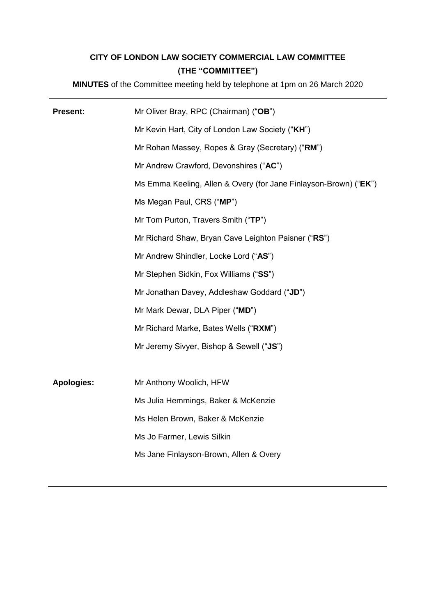# **CITY OF LONDON LAW SOCIETY COMMERCIAL LAW COMMITTEE (THE "COMMITTEE")**

**MINUTES** of the Committee meeting held by telephone at 1pm on 26 March 2020

| <b>Present:</b>   | Mr Oliver Bray, RPC (Chairman) ("OB")                            |
|-------------------|------------------------------------------------------------------|
|                   | Mr Kevin Hart, City of London Law Society ("KH")                 |
|                   | Mr Rohan Massey, Ropes & Gray (Secretary) ("RM")                 |
|                   | Mr Andrew Crawford, Devonshires ("AC")                           |
|                   | Ms Emma Keeling, Allen & Overy (for Jane Finlayson-Brown) ("EK") |
|                   | Ms Megan Paul, CRS ("MP")                                        |
|                   | Mr Tom Purton, Travers Smith ("TP")                              |
|                   | Mr Richard Shaw, Bryan Cave Leighton Paisner ("RS")              |
|                   | Mr Andrew Shindler, Locke Lord ("AS")                            |
|                   | Mr Stephen Sidkin, Fox Williams ("SS")                           |
|                   | Mr Jonathan Davey, Addleshaw Goddard ("JD")                      |
|                   | Mr Mark Dewar, DLA Piper ("MD")                                  |
|                   | Mr Richard Marke, Bates Wells ("RXM")                            |
|                   | Mr Jeremy Sivyer, Bishop & Sewell ("JS")                         |
|                   |                                                                  |
| <b>Apologies:</b> | Mr Anthony Woolich, HFW                                          |
|                   | Ms Julia Hemmings, Baker & McKenzie                              |
|                   | Ms Helen Brown, Baker & McKenzie                                 |
|                   | Ms Jo Farmer, Lewis Silkin                                       |
|                   | Ms Jane Finlayson-Brown, Allen & Overy                           |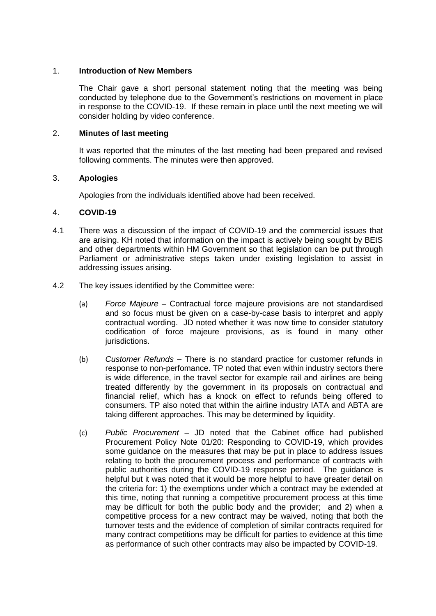# 1. **Introduction of New Members**

The Chair gave a short personal statement noting that the meeting was being conducted by telephone due to the Government's restrictions on movement in place in response to the COVID-19. If these remain in place until the next meeting we will consider holding by video conference.

# 2. **Minutes of last meeting**

It was reported that the minutes of the last meeting had been prepared and revised following comments. The minutes were then approved.

# 3. **Apologies**

Apologies from the individuals identified above had been received.

# 4. **COVID-19**

- 4.1 There was a discussion of the impact of COVID-19 and the commercial issues that are arising. KH noted that information on the impact is actively being sought by BEIS and other departments within HM Government so that legislation can be put through Parliament or administrative steps taken under existing legislation to assist in addressing issues arising.
- 4.2 The key issues identified by the Committee were:
	- (a) *Force Majeure* Contractual force majeure provisions are not standardised and so focus must be given on a case-by-case basis to interpret and apply contractual wording. JD noted whether it was now time to consider statutory codification of force majeure provisions, as is found in many other jurisdictions.
	- (b) *Customer Refunds* There is no standard practice for customer refunds in response to non-perfomance. TP noted that even within industry sectors there is wide difference, in the travel sector for example rail and airlines are being treated differently by the government in its proposals on contractual and financial relief, which has a knock on effect to refunds being offered to consumers. TP also noted that within the airline industry IATA and ABTA are taking different approaches. This may be determined by liquidity.
	- (c) *Public Procurement* JD noted that the Cabinet office had published Procurement Policy Note 01/20: Responding to COVID-19, which provides some guidance on the measures that may be put in place to address issues relating to both the procurement process and performance of contracts with public authorities during the COVID-19 response period. The guidance is helpful but it was noted that it would be more helpful to have greater detail on the criteria for: 1) the exemptions under which a contract may be extended at this time, noting that running a competitive procurement process at this time may be difficult for both the public body and the provider; and 2) when a competitive process for a new contract may be waived, noting that both the turnover tests and the evidence of completion of similar contracts required for many contract competitions may be difficult for parties to evidence at this time as performance of such other contracts may also be impacted by COVID-19.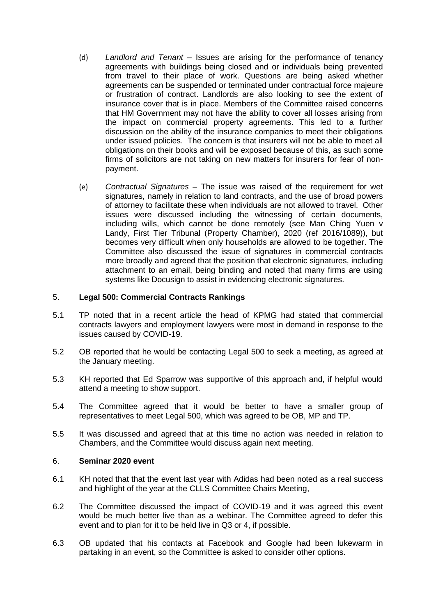- (d) *Landlord and Tenant* Issues are arising for the performance of tenancy agreements with buildings being closed and or individuals being prevented from travel to their place of work. Questions are being asked whether agreements can be suspended or terminated under contractual force majeure or frustration of contract. Landlords are also looking to see the extent of insurance cover that is in place. Members of the Committee raised concerns that HM Government may not have the ability to cover all losses arising from the impact on commercial property agreements. This led to a further discussion on the ability of the insurance companies to meet their obligations under issued policies. The concern is that insurers will not be able to meet all obligations on their books and will be exposed because of this, as such some firms of solicitors are not taking on new matters for insurers for fear of nonpayment.
- (e) *Contractual Signatures* The issue was raised of the requirement for wet signatures, namely in relation to land contracts, and the use of broad powers of attorney to facilitate these when individuals are not allowed to travel. Other issues were discussed including the witnessing of certain documents, including wills, which cannot be done remotely (see Man Ching Yuen v Landy, First Tier Tribunal (Property Chamber), 2020 (ref 2016/1089)), but becomes very difficult when only households are allowed to be together. The Committee also discussed the issue of signatures in commercial contracts more broadly and agreed that the position that electronic signatures, including attachment to an email, being binding and noted that many firms are using systems like Docusign to assist in evidencing electronic signatures.

# 5. **Legal 500: Commercial Contracts Rankings**

- 5.1 TP noted that in a recent article the head of KPMG had stated that commercial contracts lawyers and employment lawyers were most in demand in response to the issues caused by COVID-19.
- 5.2 OB reported that he would be contacting Legal 500 to seek a meeting, as agreed at the January meeting.
- 5.3 KH reported that Ed Sparrow was supportive of this approach and, if helpful would attend a meeting to show support.
- 5.4 The Committee agreed that it would be better to have a smaller group of representatives to meet Legal 500, which was agreed to be OB, MP and TP.
- 5.5 It was discussed and agreed that at this time no action was needed in relation to Chambers, and the Committee would discuss again next meeting.

# 6. **Seminar 2020 event**

- 6.1 KH noted that that the event last year with Adidas had been noted as a real success and highlight of the year at the CLLS Committee Chairs Meeting,
- 6.2 The Committee discussed the impact of COVID-19 and it was agreed this event would be much better live than as a webinar. The Committee agreed to defer this event and to plan for it to be held live in Q3 or 4, if possible.
- 6.3 OB updated that his contacts at Facebook and Google had been lukewarm in partaking in an event, so the Committee is asked to consider other options.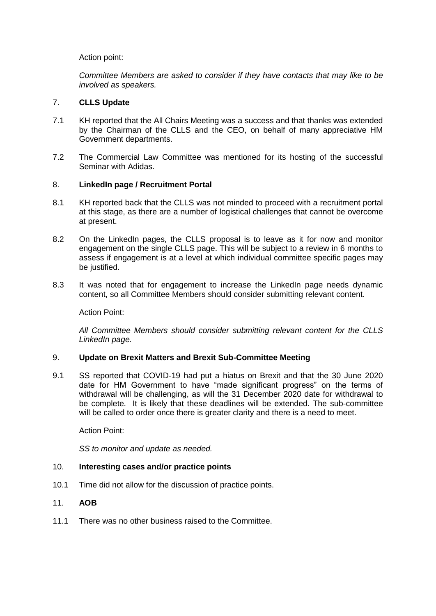# Action point:

*Committee Members are asked to consider if they have contacts that may like to be involved as speakers.*

# 7. **CLLS Update**

- 7.1 KH reported that the All Chairs Meeting was a success and that thanks was extended by the Chairman of the CLLS and the CEO, on behalf of many appreciative HM Government departments.
- 7.2 The Commercial Law Committee was mentioned for its hosting of the successful Seminar with Adidas.

# 8. **LinkedIn page / Recruitment Portal**

- 8.1 KH reported back that the CLLS was not minded to proceed with a recruitment portal at this stage, as there are a number of logistical challenges that cannot be overcome at present.
- 8.2 On the LinkedIn pages, the CLLS proposal is to leave as it for now and monitor engagement on the single CLLS page. This will be subject to a review in 6 months to assess if engagement is at a level at which individual committee specific pages may be justified.
- 8.3 It was noted that for engagement to increase the LinkedIn page needs dynamic content, so all Committee Members should consider submitting relevant content.

Action Point:

*All Committee Members should consider submitting relevant content for the CLLS LinkedIn page.*

#### 9. **Update on Brexit Matters and Brexit Sub-Committee Meeting**

9.1 SS reported that COVID-19 had put a hiatus on Brexit and that the 30 June 2020 date for HM Government to have "made significant progress" on the terms of withdrawal will be challenging, as will the 31 December 2020 date for withdrawal to be complete. It is likely that these deadlines will be extended. The sub-committee will be called to order once there is greater clarity and there is a need to meet.

Action Point:

*SS to monitor and update as needed.*

#### 10. **Interesting cases and/or practice points**

- 10.1 Time did not allow for the discussion of practice points.
- 11. **AOB**
- 11.1 There was no other business raised to the Committee.